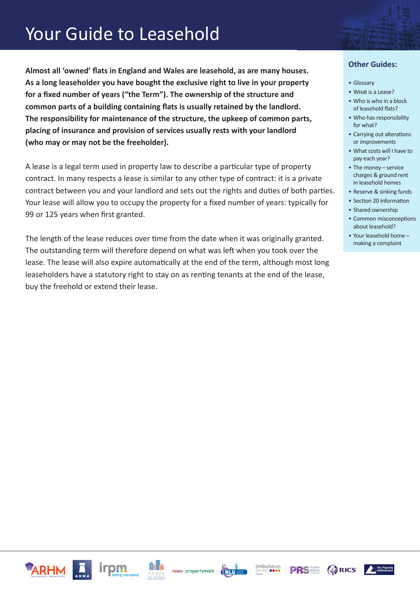### Your Guide to Leasehold

**Almost all 'owned' flats in England and Wales are leasehold, as are many houses. As a long leaseholder you have bought the exclusive right to live in your property for a fixed number of years ("the Term"). The ownership of the structure and common parts of a building containing flats is usually retained by the landlord. The responsibility for maintenance of the structure, the upkeep of common parts, placing of insurance and provision of services usually rests with your landlord (who may or may not be the freeholder).**

A lease is a legal term used in property law to describe a particular type of property contract. In many respects a lease is similar to any other type of contract: it is a private contract between you and your landlord and sets out the rights and duties of both parties. Your lease will allow you to occupy the property for a fixed number of years: typically for 99 or 125 years when first granted.

The length of the lease reduces over time from the date when it was originally granted. The outstanding term will therefore depend on what was left when you took over the lease. The lease will also expire automatically at the end of the term, although most long leaseholders have a statutory right to stay on as renting tenants at the end of the lease, buy the freehold or extend their lease.

- Glossary
- What is a Lease?
- Who is who in a block of leasehold flats?
- Who has responsibility for what?
- Carrying out alterations or improvements
- What costs will I have to pay each year?
- The money service charges & ground rent in leasehold homes
- Reserve & sinking funds
- Section 20 information
- Shared ownership
- Common misconceptions about leasehold?
- Your leasehold home making a complaint













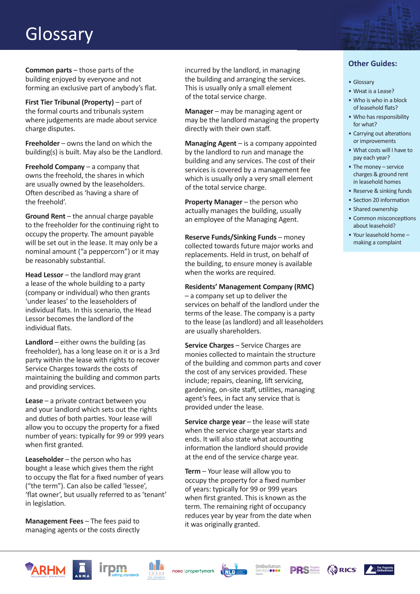### Glossary

**Common parts** – those parts of the building enjoyed by everyone and not forming an exclusive part of anybody's flat.

**First Tier Tribunal (Property)** – part of the formal courts and tribunals system where judgements are made about service charge disputes.

**Freeholder** – owns the land on which the building(s) is built. May also be the Landlord.

**Freehold Company** – a company that owns the freehold, the shares in which are usually owned by the leaseholders. Often described as 'having a share of the freehold'.

Ground Rent - the annual charge payable to the freeholder for the continuing right to occupy the property. The amount payable will be set out in the lease. It may only be a nominal amount ("a peppercorn") or it may be reasonably substantial.

**Head Lessor** – the landlord may grant a lease of the whole building to a party (company or individual) who then grants 'under leases' to the leaseholders of individual flats. In this scenario, the Head Lessor becomes the landlord of the individual flats.

**Landlord** – either owns the building (as freeholder), has a long lease on it or is a 3rd party within the lease with rights to recover Service Charges towards the costs of maintaining the building and common parts and providing services.

**Lease** – a private contract between you and your landlord which sets out the rights and duties of both parties. Your lease will allow you to occupy the property for a fixed number of years: typically for 99 or 999 years when first granted.

**Leaseholder** – the person who has bought a lease which gives them the right to occupy the flat for a fixed number of years ("the term"). Can also be called 'lessee', 'flat owner', but usually referred to as 'tenant' in legislation.

**Management Fees** – The fees paid to managing agents or the costs directly incurred by the landlord, in managing the building and arranging the services. This is usually only a small element of the total service charge.

**Manager** – may be managing agent or may be the landlord managing the property directly with their own staff.

**Managing Agent** – is a company appointed by the landlord to run and manage the building and any services. The cost of their services is covered by a management fee which is usually only a very small element of the total service charge.

**Property Manager** – the person who actually manages the building, usually an employee of the Managing Agent.

**Reserve Funds/Sinking Funds** – money collected towards future major works and replacements. Held in trust, on behalf of the building, to ensure money is available when the works are required.

**Residents' Management Company (RMC)**  – a company set up to deliver the services on behalf of the landlord under the terms of the lease. The company is a party to the lease (as landlord) and all leaseholders are usually shareholders.

**Service Charges** – Service Charges are monies collected to maintain the structure of the building and common parts and cover the cost of any services provided. These include; repairs, cleaning, lift servicing, gardening, on-site staff, utilities, managing agent's fees, in fact any service that is provided under the lease.

**Service charge year** – the lease will state when the service charge year starts and ends. It will also state what accounting information the landlord should provide at the end of the service charge year.

**Term** – Your lease will allow you to occupy the property for a fixed number of years: typically for 99 or 999 years when first granted. This is known as the term. The remaining right of occupancy reduces year by year from the date when it was originally granted.

- Glossary
- What is a Lease?
- Who is who in a block of leasehold flats?
- Who has responsibility for what?
- Carrying out alterations or improvements
- What costs will I have to pay each year?
- The money service charges & ground rent in leasehold homes
- Reserve & sinking funds
- Section 20 information
- Shared ownership
- Common misconceptions about leasehold?
- Your leasehold home making a complaint



![](_page_1_Picture_34.jpeg)

![](_page_1_Picture_35.jpeg)

![](_page_1_Picture_36.jpeg)

![](_page_1_Picture_37.jpeg)

![](_page_1_Picture_38.jpeg)

![](_page_1_Picture_39.jpeg)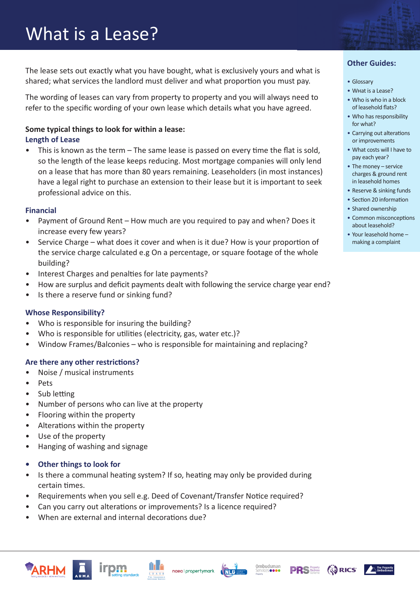The lease sets out exactly what you have bought, what is exclusively yours and what is shared; what services the landlord must deliver and what proportion you must pay.

The wording of leases can vary from property to property and you will always need to refer to the specific wording of your own lease which details what you have agreed.

#### **Some typical things to look for within a lease: Length of Lease**

This is known as the term  $-$  The same lease is passed on every time the flat is sold, so the length of the lease keeps reducing. Most mortgage companies will only lend on a lease that has more than 80 years remaining. Leaseholders (in most instances) have a legal right to purchase an extension to their lease but it is important to seek professional advice on this.

#### **Financial**

- Payment of Ground Rent How much are you required to pay and when? Does it increase every few years?
- Service Charge what does it cover and when is it due? How is your proportion of the service charge calculated e.g On a percentage, or square footage of the whole building?
- Interest Charges and penalties for late payments?
- How are surplus and deficit payments dealt with following the service charge year end?
- Is there a reserve fund or sinking fund?

#### **Whose Responsibility?**

- Who is responsible for insuring the building?
- Who is responsible for utilities (electricity, gas, water etc.)?
- Window Frames/Balconies who is responsible for maintaining and replacing?

#### **Are there any other restrictions?**

- Noise / musical instruments
- Pets
- Sub letting
- Number of persons who can live at the property
- Flooring within the property
- Alterations within the property
- Use of the property
- Hanging of washing and signage
- **• Other things to look for**
- Is there a communal heating system? If so, heating may only be provided during certain times.
- Requirements when you sell e.g. Deed of Covenant/Transfer Notice required?
- Can you carry out alterations or improvements? Is a licence required?
- When are external and internal decorations due?

![](_page_2_Picture_29.jpeg)

![](_page_2_Picture_30.jpeg)

![](_page_2_Picture_31.jpeg)

![](_page_2_Picture_32.jpeg)

![](_page_2_Picture_33.jpeg)

![](_page_2_Picture_34.jpeg)

![](_page_2_Picture_35.jpeg)

- Glossary
- What is a Lease?
- Who is who in a block of leasehold flats?
- Who has responsibility for what?
- Carrying out alterations or improvements
- What costs will I have to pay each year?
- The money service charges & ground rent in leasehold homes
- Reserve & sinking funds
- Section 20 information
- Shared ownership
- Common misconceptions about leasehold?
- Your leasehold home making a complaint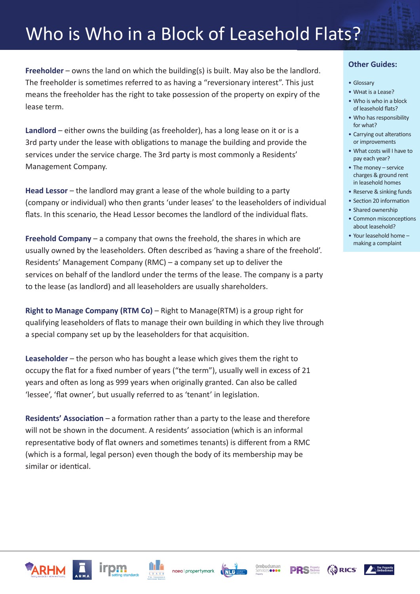### Who is Who in a Block of Leasehold Flats?

**Freeholder – owns the land on which the building(s) is built. May also be the landlord.** The freeholder is sometimes referred to as having a "reversionary interest". This just means the freeholder has the right to take possession of the property on expiry of the lease term.

**Landlord** – either owns the building (as freeholder), has a long lease on it or is a 3rd party under the lease with obligations to manage the building and provide the services under the service charge. The 3rd party is most commonly a Residents' Management Company.

**Head Lessor** – the landlord may grant a lease of the whole building to a party (company or individual) who then grants 'under leases' to the leaseholders of individual flats. In this scenario, the Head Lessor becomes the landlord of the individual flats.

**Freehold Company** – a company that owns the freehold, the shares in which are usually owned by the leaseholders. Often described as 'having a share of the freehold'. Residents' Management Company (RMC) – a company set up to deliver the services on behalf of the landlord under the terms of the lease. The company is a party to the lease (as landlord) and all leaseholders are usually shareholders.

**Right to Manage Company (RTM Co)** – Right to Manage(RTM) is a group right for qualifying leaseholders of flats to manage their own building in which they live through a special company set up by the leaseholders for that acquisition.

**Leaseholder** – the person who has bought a lease which gives them the right to occupy the flat for a fixed number of years ("the term"), usually well in excess of 21 years and often as long as 999 years when originally granted. Can also be called 'lessee', 'flat owner', but usually referred to as 'tenant' in legislation.

**Residents' Association** – a formation rather than a party to the lease and therefore will not be shown in the document. A residents' association (which is an informal representative body of flat owners and sometimes tenants) is different from a RMC (which is a formal, legal person) even though the body of its membership may be similar or identical.

- Glossary
- What is a Lease?
- Who is who in a block of leasehold flats?
- Who has responsibility for what?
- Carrying out alterations or improvements
- What costs will I have to pay each year?
- The money service charges & ground rent in leasehold homes
- Reserve & sinking funds
- Section 20 information
- Shared ownership
- Common misconceptions about leasehold?
- Your leasehold home making a complaint

![](_page_3_Picture_21.jpeg)

![](_page_3_Picture_22.jpeg)

![](_page_3_Picture_23.jpeg)

![](_page_3_Picture_24.jpeg)

![](_page_3_Picture_25.jpeg)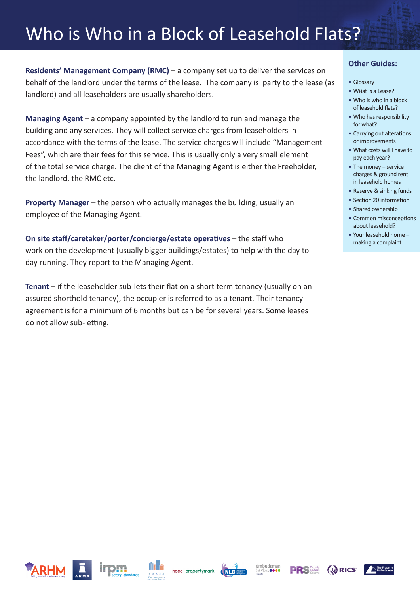### Who is Who in a Block of Leasehold Flats?

**Residents' Management Company (RMC)** – a company set up to deliver the services on behalf of the landlord under the terms of the lease. The company is party to the lease (as landlord) and all leaseholders are usually shareholders.

**Managing Agent** – a company appointed by the landlord to run and manage the building and any services. They will collect service charges from leaseholders in accordance with the terms of the lease. The service charges will include "Management Fees", which are their fees for this service. This is usually only a very small element of the total service charge. The client of the Managing Agent is either the Freeholder, the landlord, the RMC etc.

**Property Manager** – the person who actually manages the building, usually an employee of the Managing Agent.

**On site staff/caretaker/porter/concierge/estate operatives** – the staff who work on the development (usually bigger buildings/estates) to help with the day to day running. They report to the Managing Agent.

**Tenant** – if the leaseholder sub-lets their flat on a short term tenancy (usually on an assured shorthold tenancy), the occupier is referred to as a tenant. Their tenancy agreement is for a minimum of 6 months but can be for several years. Some leases do not allow sub-letting.

#### **Other Guides:**

- Glossary
- What is a Lease?
- Who is who in a block of leasehold flats?
- Who has responsibility for what?
- Carrying out alterations or improvements
- What costs will I have to pay each year?
- The money service charges & ground rent in leasehold homes
- Reserve & sinking funds
- Section 20 information
- Shared ownership
- Common misconceptions about leasehold?
- Your leasehold home making a complaint

![](_page_4_Picture_19.jpeg)

![](_page_4_Picture_20.jpeg)

![](_page_4_Picture_21.jpeg)

![](_page_4_Picture_22.jpeg)

![](_page_4_Picture_23.jpeg)

![](_page_4_Picture_24.jpeg)

![](_page_4_Picture_25.jpeg)

**AS RICS**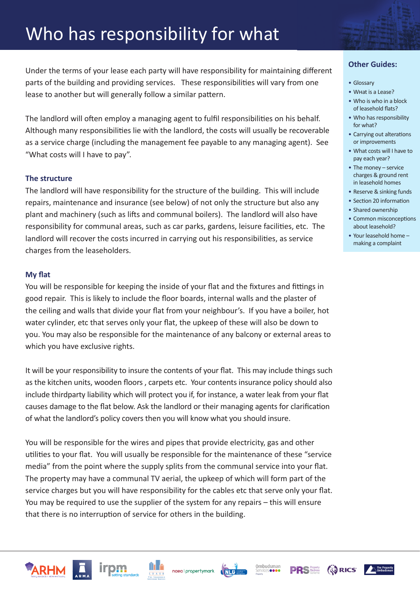# Who has responsibility for what

Under the terms of your lease each party will have responsibility for maintaining different parts of the building and providing services. These responsibilities will vary from one lease to another but will generally follow a similar pattern.

The landlord will often employ a managing agent to fulfil responsibilities on his behalf. Although many responsibilities lie with the landlord, the costs will usually be recoverable as a service charge (including the management fee payable to any managing agent). See "What costs will I have to pay".

#### **The structure**

The landlord will have responsibility for the structure of the building. This will include repairs, maintenance and insurance (see below) of not only the structure but also any plant and machinery (such as lifts and communal boilers). The landlord will also have responsibility for communal areas, such as car parks, gardens, leisure facilities, etc. The landlord will recover the costs incurred in carrying out his responsibilities, as service charges from the leaseholders.

#### **My flat**

You will be responsible for keeping the inside of your flat and the fixtures and fittings in good repair. This is likely to include the floor boards, internal walls and the plaster of the ceiling and walls that divide your flat from your neighbour's. If you have a boiler, hot water cylinder, etc that serves only your flat, the upkeep of these will also be down to you. You may also be responsible for the maintenance of any balcony or external areas to which you have exclusive rights.

It will be your responsibility to insure the contents of your flat. This may include things such as the kitchen units, wooden floors , carpets etc. Your contents insurance policy should also include thirdparty liability which will protect you if, for instance, a water leak from your flat causes damage to the flat below. Ask the landlord or their managing agents for clarification of what the landlord's policy covers then you will know what you should insure.

You will be responsible for the wires and pipes that provide electricity, gas and other utilities to your flat. You will usually be responsible for the maintenance of these "service media" from the point where the supply splits from the communal service into your flat. The property may have a communal TV aerial, the upkeep of which will form part of the service charges but you will have responsibility for the cables etc that serve only your flat. You may be required to use the supplier of the system for any repairs – this will ensure that there is no interruption of service for others in the building.

![](_page_5_Picture_9.jpeg)

![](_page_5_Picture_10.jpeg)

![](_page_5_Picture_11.jpeg)

![](_page_5_Picture_12.jpeg)

![](_page_5_Picture_13.jpeg)

**AS RICS** 

### • Glossary

- What is a Lease?
- Who is who in a block of leasehold flats?
- Who has responsibility for what?
- Carrying out alterations or improvements
- What costs will I have to pay each year?
- The money service charges & ground rent in leasehold homes
- Reserve & sinking funds
- Section 20 information
- Shared ownership
- Common misconceptions about leasehold?
- Your leasehold home making a complaint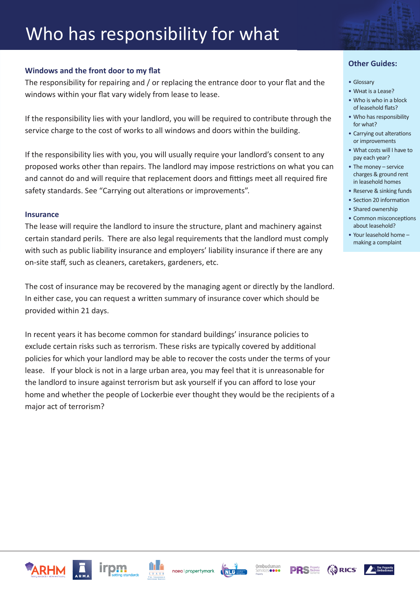# Who has responsibility for what

#### **Windows and the front door to my flat**

The responsibility for repairing and / or replacing the entrance door to your flat and the windows within your flat vary widely from lease to lease.

If the responsibility lies with your landlord, you will be required to contribute through the service charge to the cost of works to all windows and doors within the building.

If the responsibility lies with you, you will usually require your landlord's consent to any proposed works other than repairs. The landlord may impose restrictions on what you can and cannot do and will require that replacement doors and fittings meet all required fire safety standards. See "Carrying out alterations or improvements".

#### **Insurance**

The lease will require the landlord to insure the structure, plant and machinery against certain standard perils. There are also legal requirements that the landlord must comply with such as public liability insurance and employers' liability insurance if there are any on-site staff, such as cleaners, caretakers, gardeners, etc.

The cost of insurance may be recovered by the managing agent or directly by the landlord. In either case, you can request a written summary of insurance cover which should be provided within 21 days.

In recent years it has become common for standard buildings' insurance policies to exclude certain risks such as terrorism. These risks are typically covered by additional policies for which your landlord may be able to recover the costs under the terms of your lease. If your block is not in a large urban area, you may feel that it is unreasonable for the landlord to insure against terrorism but ask yourself if you can afford to lose your home and whether the people of Lockerbie ever thought they would be the recipients of a major act of terrorism?

- Glossary
- What is a Lease?
- Who is who in a block of leasehold flats?
- Who has responsibility for what?
- Carrying out alterations or improvements
- What costs will I have to pay each year?
- The money service charges & ground rent in leasehold homes
- Reserve & sinking funds
- Section 20 information
- Shared ownership
- Common misconceptions about leasehold?
- Your leasehold home making a complaint

![](_page_6_Picture_22.jpeg)

![](_page_6_Picture_23.jpeg)

![](_page_6_Picture_24.jpeg)

![](_page_6_Picture_25.jpeg)

![](_page_6_Picture_26.jpeg)

![](_page_6_Picture_28.jpeg)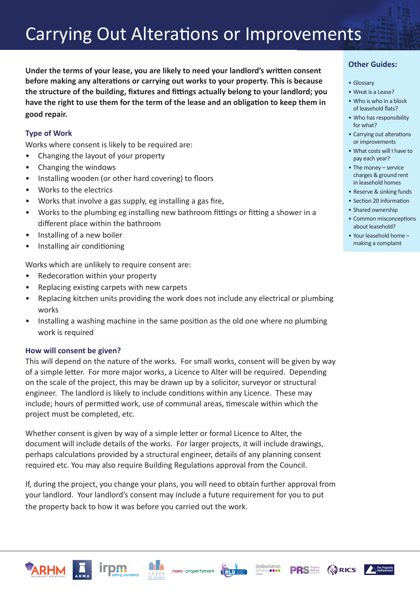**Under the terms of your lease, you are likely to need your landlord's written consent before making any alterations or carrying out works to your property. This is because the structure of the building, fixtures and fittings actually belong to your landlord; you have the right to use them for the term of the lease and an obligation to keep them in good repair.**

#### **Type of Work**

Works where consent is likely to be required are:

- Changing the layout of your property
- Changing the windows
- Installing wooden (or other hard covering) to floors
- Works to the electrics
- Works that involve a gas supply, eg installing a gas fire,
- Works to the plumbing eg installing new bathroom fittings or fitting a shower in a different place within the bathroom
- Installing of a new boiler
- Installing air conditioning

Works which are unlikely to require consent are:

- Redecoration within your property
- Replacing existing carpets with new carpets
- Replacing kitchen units providing the work does not include any electrical or plumbing works
- Installing a washing machine in the same position as the old one where no plumbing work is required

#### **How will consent be given?**

This will depend on the nature of the works. For small works, consent will be given by way of a simple letter. For more major works, a Licence to Alter will be required. Depending on the scale of the project, this may be drawn up by a solicitor, surveyor or structural engineer. The landlord is likely to include conditions within any Licence. These may include; hours of permitted work, use of communal areas, timescale within which the project must be completed, etc.

Whether consent is given by way of a simple letter or formal Licence to Alter, the document will include details of the works. For larger projects, it will include drawings, perhaps calculations provided by a structural engineer, details of any planning consent required etc. You may also require Building Regulations approval from the Council.

If, during the project, you change your plans, you will need to obtain further approval from your landlord. Your landlord's consent may include a future requirement for you to put the property back to how it was before you carried out the work.

- Glossary
- What is a Lease?
- Who is who in a block of leasehold flats?
- Who has responsibility for what?
- Carrying out alterations or improvements
- What costs will I have to pay each year?
- The money service charges & ground rent in leasehold homes
- Reserve & sinking funds
- Section 20 information
- Shared ownership
- Common misconceptions about leasehold?
- Your leasehold home making a complaint

![](_page_7_Picture_34.jpeg)

![](_page_7_Picture_35.jpeg)

![](_page_7_Picture_36.jpeg)

![](_page_7_Picture_37.jpeg)

![](_page_7_Picture_38.jpeg)

![](_page_7_Picture_39.jpeg)

![](_page_7_Picture_40.jpeg)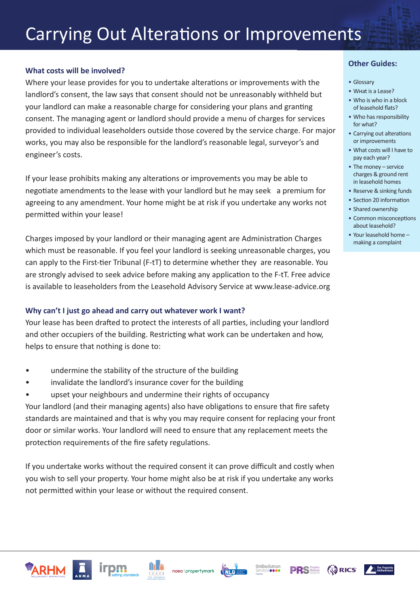#### **What costs will be involved?**

Where your lease provides for you to undertake alterations or improvements with the landlord's consent, the law says that consent should not be unreasonably withheld but your landlord can make a reasonable charge for considering your plans and granting consent. The managing agent or landlord should provide a menu of charges for services provided to individual leaseholders outside those covered by the service charge. For major works, you may also be responsible for the landlord's reasonable legal, surveyor's and engineer's costs.

If your lease prohibits making any alterations or improvements you may be able to negotiate amendments to the lease with your landlord but he may seek a premium for agreeing to any amendment. Your home might be at risk if you undertake any works not permitted within your lease!

Charges imposed by your landlord or their managing agent are Administration Charges which must be reasonable. If you feel your landlord is seeking unreasonable charges, you can apply to the First-tier Tribunal (F-tT) to determine whether they are reasonable. You are strongly advised to seek advice before making any application to the F-tT. Free advice is available to leaseholders from the Leasehold Advisory Service at www.lease-advice.org

#### **Why can't I just go ahead and carry out whatever work I want?**

Your lease has been drafted to protect the interests of all parties, including your landlord and other occupiers of the building. Restricting what work can be undertaken and how, helps to ensure that nothing is done to:

- undermine the stability of the structure of the building
- invalidate the landlord's insurance cover for the building
- upset your neighbours and undermine their rights of occupancy

Your landlord (and their managing agents) also have obligations to ensure that fire safety standards are maintained and that is why you may require consent for replacing your front door or similar works. Your landlord will need to ensure that any replacement meets the protection requirements of the fire safety regulations.

If you undertake works without the required consent it can prove difficult and costly when you wish to sell your property. Your home might also be at risk if you undertake any works not permitted within your lease or without the required consent.

- Glossary
- What is a Lease?
- Who is who in a block of leasehold flats?
- Who has responsibility for what?
- Carrying out alterations or improvements
- What costs will I have to pay each year?
- The money service charges & ground rent in leasehold homes
- Reserve & sinking funds
- Section 20 information
- Shared ownership
- Common misconceptions about leasehold?
- Your leasehold home making a complaint

![](_page_8_Picture_25.jpeg)

![](_page_8_Picture_26.jpeg)

![](_page_8_Picture_27.jpeg)

![](_page_8_Picture_28.jpeg)

![](_page_8_Picture_29.jpeg)

![](_page_8_Picture_30.jpeg)

![](_page_8_Picture_31.jpeg)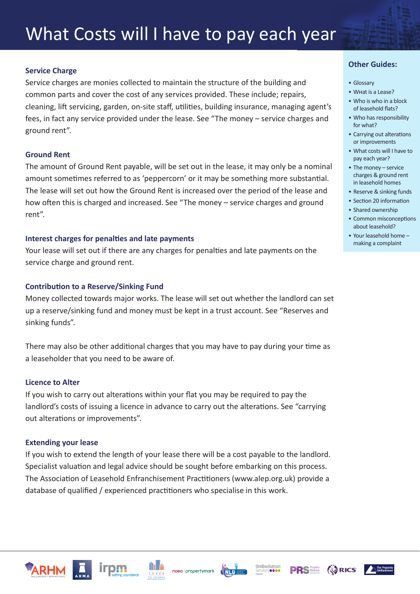# What Costs will I have to pay each year

#### **Service Charge**

Service charges are monies collected to maintain the structure of the building and common parts and cover the cost of any services provided. These include; repairs, cleaning, lift servicing, garden, on-site staff, utilities, building insurance, managing agent's fees, in fact any service provided under the lease. See "The money – service charges and ground rent".

#### **Ground Rent**

The amount of Ground Rent payable, will be set out in the lease, it may only be a nominal amount sometimes referred to as 'peppercorn' or it may be something more substantial. The lease will set out how the Ground Rent is increased over the period of the lease and how often this is charged and increased. See "The money – service charges and ground rent".

#### **Interest charges for penalties and late payments**

Your lease will set out if there are any charges for penalties and late payments on the service charge and ground rent.

#### **Contribution to a Reserve/Sinking Fund**

Money collected towards major works. The lease will set out whether the landlord can set up a reserve/sinking fund and money must be kept in a trust account. See "Reserves and sinking funds".

There may also be other additional charges that you may have to pay during your time as a leaseholder that you need to be aware of.

#### **Licence to Alter**

If you wish to carry out alterations within your flat you may be required to pay the landlord's costs of issuing a licence in advance to carry out the alterations. See "carrying out alterations or improvements".

#### **Extending your lease**

If you wish to extend the length of your lease there will be a cost payable to the landlord. Specialist valuation and legal advice should be sought before embarking on this process. The Association of Leasehold Enfranchisement Practitioners (www.alep.org.uk) provide a database of qualified / experienced practitioners who specialise in this work.

![](_page_9_Picture_15.jpeg)

![](_page_9_Picture_16.jpeg)

![](_page_9_Picture_17.jpeg)

![](_page_9_Picture_18.jpeg)

**AS RICS** 

- Glossary
- What is a Lease?
- Who is who in a block of leasehold flats?
- Who has responsibility for what?
- Carrying out alterations or improvements
- What costs will I have to pay each year?
- The money service charges & ground rent in leasehold homes
- Reserve & sinking funds
- Section 20 information
- Shared ownership
- Common misconceptions about leasehold?
- Your leasehold home making a complaint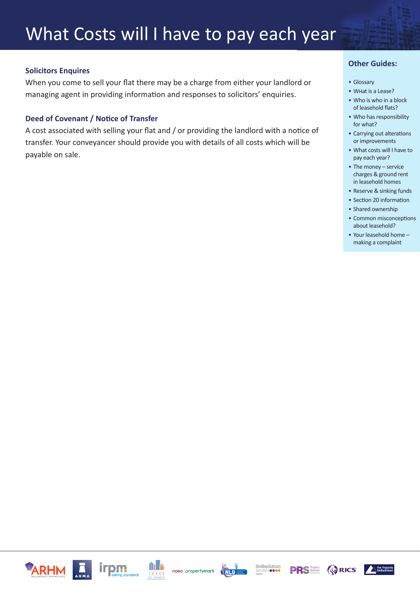#### **Solicitors Enquires**

When you come to sell your flat there may be a charge from either your landlord or managing agent in providing information and responses to solicitors' enquiries.

#### **Deed of Covenant / Notice of Transfer**

A cost associated with selling your flat and / or providing the landlord with a notice of transfer. Your conveyancer should provide you with details of all costs which will be payable on sale.

- Glossary
- What is a Lease?
- Who is who in a block of leasehold flats?
- Who has responsibility for what?
- Carrying out alterations or improvements
- What costs will I have to pay each year?
- The money service charges & ground rent in leasehold homes
- Reserve & sinking funds
- Section 20 information
- Shared ownership
- Common misconceptions about leasehold?
- Your leasehold home making a complaint

![](_page_10_Picture_18.jpeg)

![](_page_10_Picture_19.jpeg)

![](_page_10_Picture_20.jpeg)

![](_page_10_Picture_21.jpeg)

![](_page_10_Picture_22.jpeg)

![](_page_10_Picture_23.jpeg)

![](_page_10_Picture_24.jpeg)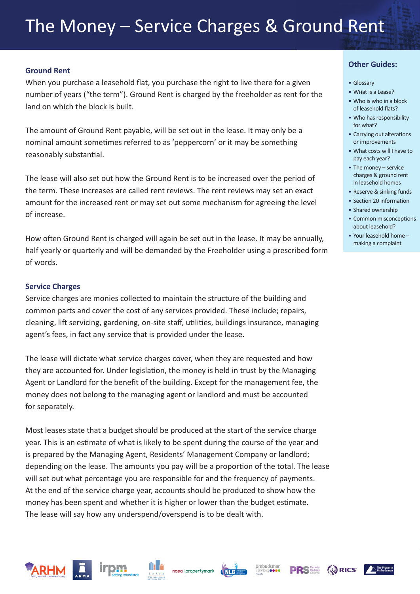#### **Ground Rent**

When you purchase a leasehold flat, you purchase the right to live there for a given number of years ("the term"). Ground Rent is charged by the freeholder as rent for the land on which the block is built.

The amount of Ground Rent payable, will be set out in the lease. It may only be a nominal amount sometimes referred to as 'peppercorn' or it may be something reasonably substantial.

The lease will also set out how the Ground Rent is to be increased over the period of the term. These increases are called rent reviews. The rent reviews may set an exact amount for the increased rent or may set out some mechanism for agreeing the level of increase.

How often Ground Rent is charged will again be set out in the lease. It may be annually, half yearly or quarterly and will be demanded by the Freeholder using a prescribed form of words.

#### **Service Charges**

Service charges are monies collected to maintain the structure of the building and common parts and cover the cost of any services provided. These include; repairs, cleaning, lift servicing, gardening, on-site staff, utilities, buildings insurance, managing agent's fees, in fact any service that is provided under the lease.

The lease will dictate what service charges cover, when they are requested and how they are accounted for. Under legislation, the money is held in trust by the Managing Agent or Landlord for the benefit of the building. Except for the management fee, the money does not belong to the managing agent or landlord and must be accounted for separately.

Most leases state that a budget should be produced at the start of the service charge year. This is an estimate of what is likely to be spent during the course of the year and is prepared by the Managing Agent, Residents' Management Company or landlord; depending on the lease. The amounts you pay will be a proportion of the total. The lease will set out what percentage you are responsible for and the frequency of payments. At the end of the service charge year, accounts should be produced to show how the money has been spent and whether it is higher or lower than the budget estimate. The lease will say how any underspend/overspend is to be dealt with.

- Glossary
- What is a Lease?
- Who is who in a block of leasehold flats?
- Who has responsibility for what?
- Carrying out alterations or improvements
- What costs will I have to pay each year?
- The money service charges & ground rent in leasehold homes
- Reserve & sinking funds
- Section 20 information
- Shared ownership
- Common misconceptions about leasehold?
- Your leasehold home making a complaint

![](_page_11_Picture_23.jpeg)

![](_page_11_Picture_24.jpeg)

![](_page_11_Picture_25.jpeg)

![](_page_11_Picture_26.jpeg)

![](_page_11_Picture_27.jpeg)

![](_page_11_Picture_28.jpeg)

![](_page_11_Picture_29.jpeg)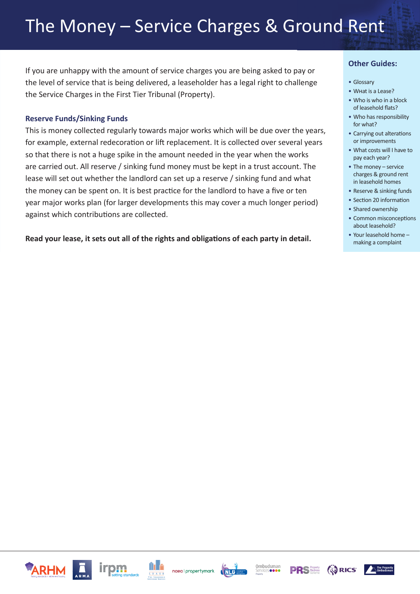### The Money – Service Charges & Ground Rent

If you are unhappy with the amount of service charges you are being asked to pay or the level of service that is being delivered, a leaseholder has a legal right to challenge the Service Charges in the First Tier Tribunal (Property).

#### **Reserve Funds/Sinking Funds**

This is money collected regularly towards major works which will be due over the years, for example, external redecoration or lift replacement. It is collected over several years so that there is not a huge spike in the amount needed in the year when the works are carried out. All reserve / sinking fund money must be kept in a trust account. The lease will set out whether the landlord can set up a reserve / sinking fund and what the money can be spent on. It is best practice for the landlord to have a five or ten year major works plan (for larger developments this may cover a much longer period) against which contributions are collected.

**Read your lease, it sets out all of the rights and obligations of each party in detail.**

- Glossary
- What is a Lease?
- Who is who in a block of leasehold flats?
- Who has responsibility for what?
- Carrying out alterations or improvements
- What costs will I have to pay each year?
- The money service charges & ground rent in leasehold homes
- Reserve & sinking funds
- Section 20 information
- Shared ownership
- Common misconceptions about leasehold?
- Your leasehold home making a complaint

![](_page_12_Picture_18.jpeg)

![](_page_12_Picture_19.jpeg)

![](_page_12_Picture_20.jpeg)

![](_page_12_Picture_21.jpeg)

![](_page_12_Picture_22.jpeg)

![](_page_12_Picture_23.jpeg)

![](_page_12_Picture_24.jpeg)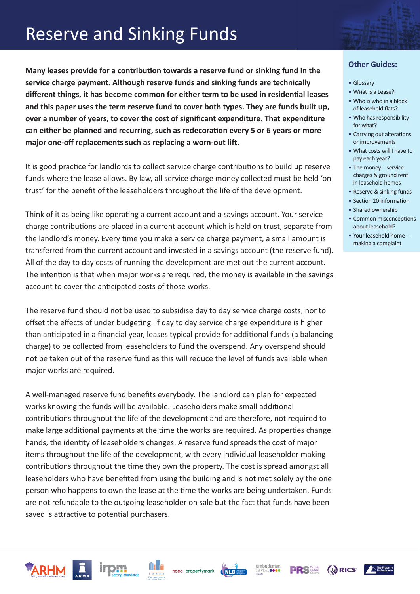### Reserve and Sinking Funds

**Many leases provide for a contribution towards a reserve fund or sinking fund in the service charge payment. Although reserve funds and sinking funds are technically different things, it has become common for either term to be used in residential leases and this paper uses the term reserve fund to cover both types. They are funds built up, over a number of years, to cover the cost of significant expenditure. That expenditure can either be planned and recurring, such as redecoration every 5 or 6 years or more major one-off replacements such as replacing a worn-out lift.**

It is good practice for landlords to collect service charge contributions to build up reserve funds where the lease allows. By law, all service charge money collected must be held 'on trust' for the benefit of the leaseholders throughout the life of the development.

Think of it as being like operating a current account and a savings account. Your service charge contributions are placed in a current account which is held on trust, separate from the landlord's money. Every time you make a service charge payment, a small amount is transferred from the current account and invested in a savings account (the reserve fund). All of the day to day costs of running the development are met out the current account. The intention is that when major works are required, the money is available in the savings account to cover the anticipated costs of those works.

The reserve fund should not be used to subsidise day to day service charge costs, nor to offset the effects of under budgeting. If day to day service charge expenditure is higher than anticipated in a financial year, leases typical provide for additional funds (a balancing charge) to be collected from leaseholders to fund the overspend. Any overspend should not be taken out of the reserve fund as this will reduce the level of funds available when major works are required.

A well-managed reserve fund benefits everybody. The landlord can plan for expected works knowing the funds will be available. Leaseholders make small additional contributions throughout the life of the development and are therefore, not required to make large additional payments at the time the works are required. As properties change hands, the identity of leaseholders changes. A reserve fund spreads the cost of major items throughout the life of the development, with every individual leaseholder making contributions throughout the time they own the property. The cost is spread amongst all leaseholders who have benefited from using the building and is not met solely by the one person who happens to own the lease at the time the works are being undertaken. Funds are not refundable to the outgoing leaseholder on sale but the fact that funds have been saved is attractive to potential purchasers.

![](_page_13_Picture_6.jpeg)

![](_page_13_Picture_7.jpeg)

![](_page_13_Picture_8.jpeg)

![](_page_13_Picture_9.jpeg)

![](_page_13_Picture_10.jpeg)

![](_page_13_Picture_11.jpeg)

![](_page_13_Picture_12.jpeg)

![](_page_13_Picture_13.jpeg)

- Glossary
- What is a Lease?
- Who is who in a block of leasehold flats?
- Who has responsibility for what?
- Carrying out alterations or improvements
- What costs will I have to pay each year?
- The money service charges & ground rent in leasehold homes
- Reserve & sinking funds
- Section 20 information
- Shared ownership
- Common misconceptions about leasehold?
- Your leasehold home making a complaint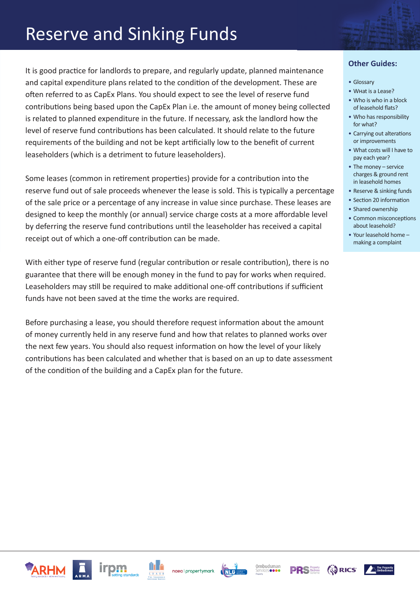### Reserve and Sinking Funds

It is good practice for landlords to prepare, and regularly update, planned maintenance and capital expenditure plans related to the condition of the development. These are often referred to as CapEx Plans. You should expect to see the level of reserve fund contributions being based upon the CapEx Plan i.e. the amount of money being collected is related to planned expenditure in the future. If necessary, ask the landlord how the level of reserve fund contributions has been calculated. It should relate to the future requirements of the building and not be kept artificially low to the benefit of current leaseholders (which is a detriment to future leaseholders).

Some leases (common in retirement properties) provide for a contribution into the reserve fund out of sale proceeds whenever the lease is sold. This is typically a percentage of the sale price or a percentage of any increase in value since purchase. These leases are designed to keep the monthly (or annual) service charge costs at a more affordable level by deferring the reserve fund contributions until the leaseholder has received a capital receipt out of which a one-off contribution can be made.

With either type of reserve fund (regular contribution or resale contribution), there is no guarantee that there will be enough money in the fund to pay for works when required. Leaseholders may still be required to make additional one-off contributions if sufficient funds have not been saved at the time the works are required.

Before purchasing a lease, you should therefore request information about the amount of money currently held in any reserve fund and how that relates to planned works over the next few years. You should also request information on how the level of your likely contributions has been calculated and whether that is based on an up to date assessment of the condition of the building and a CapEx plan for the future.

- Glossary
- What is a Lease?
- Who is who in a block of leasehold flats?
- Who has responsibility for what?
- Carrying out alterations or improvements
- What costs will I have to pay each year?
- The money service charges & ground rent in leasehold homes
- Reserve & sinking funds
- Section 20 information
- Shared ownership
- Common misconceptions about leasehold?
- Your leasehold home making a complaint

![](_page_14_Picture_18.jpeg)

![](_page_14_Picture_19.jpeg)

![](_page_14_Picture_20.jpeg)

![](_page_14_Picture_21.jpeg)

![](_page_14_Picture_22.jpeg)

![](_page_14_Picture_23.jpeg)

![](_page_14_Picture_24.jpeg)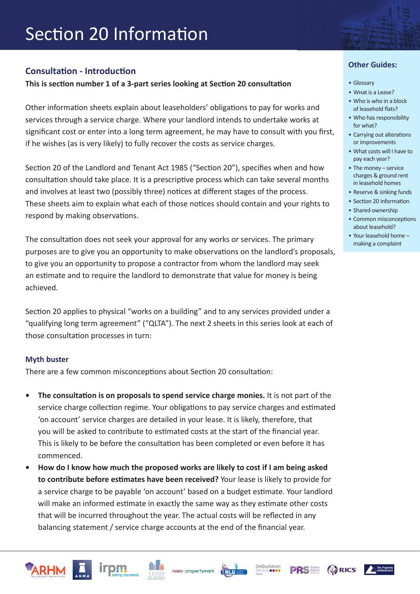### Section 20 Information

#### **Consultation - Introduction**

**This is section number 1 of a 3-part series looking at Section 20 consultation**

Other information sheets explain about leaseholders' obligations to pay for works and services through a service charge. Where your landlord intends to undertake works at significant cost or enter into a long term agreement, he may have to consult with you first, if he wishes (as is very likely) to fully recover the costs as service charges.

Section 20 of the Landlord and Tenant Act 1985 ("Section 20"), specifies when and how consultation should take place. It is a prescriptive process which can take several months and involves at least two (possibly three) notices at different stages of the process. These sheets aim to explain what each of those notices should contain and your rights to respond by making observations.

The consultation does not seek your approval for any works or services. The primary purposes are to give you an opportunity to make observations on the landlord's proposals, to give you an opportunity to propose a contractor from whom the landlord may seek an estimate and to require the landlord to demonstrate that value for money is being achieved.

Section 20 applies to physical "works on a building" and to any services provided under a "qualifying long term agreement" ("QLTA"). The next 2 sheets in this series look at each of those consultation processes in turn:

#### **Myth buster**

There are a few common misconceptions about Section 20 consultation:

pm

- **• The consultation is on proposals to spend service charge monies.** It is not part of the service charge collection regime. Your obligations to pay service charges and estimated 'on account' service charges are detailed in your lease. It is likely, therefore, that you will be asked to contribute to estimated costs at the start of the financial year. This is likely to be before the consultation has been completed or even before it has commenced.
- **• How do I know how much the proposed works are likely to cost if I am being asked to contribute before estimates have been received?** Your lease is likely to provide for a service charge to be payable 'on account' based on a budget estimate. Your landlord will make an informed estimate in exactly the same way as they estimate other costs that will be incurred throughout the year. The actual costs will be reflected in any balancing statement / service charge accounts at the end of the financial year.

naea | propertymark

**Property** 

Ombudsman

**AS RICS** 

![](_page_15_Picture_11.jpeg)

- Glossary
- What is a Lease?
- Who is who in a block of leasehold flats?
- Who has responsibility for what?
- Carrying out alterations or improvements
- What costs will I have to pay each year?
- The money service charges & ground rent in leasehold homes
- Reserve & sinking funds
- Section 20 information
- Shared ownership
- Common misconceptions about leasehold?
- Your leasehold home making a complaint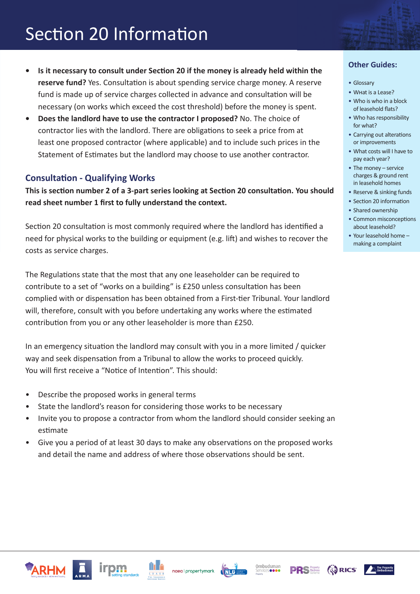- **• Is it necessary to consult under Section 20 if the money is already held within the reserve fund?** Yes. Consultation is about spending service charge money. A reserve fund is made up of service charges collected in advance and consultation will be necessary (on works which exceed the cost threshold) before the money is spent.
- **• Does the landlord have to use the contractor I proposed?** No. The choice of contractor lies with the landlord. There are obligations to seek a price from at least one proposed contractor (where applicable) and to include such prices in the Statement of Estimates but the landlord may choose to use another contractor.

#### **Consultation - Qualifying Works**

**This is section number 2 of a 3-part series looking at Section 20 consultation. You should read sheet number 1 first to fully understand the context.**

Section 20 consultation is most commonly required where the landlord has identified a need for physical works to the building or equipment (e.g. lift) and wishes to recover the costs as service charges.

The Regulations state that the most that any one leaseholder can be required to contribute to a set of "works on a building" is £250 unless consultation has been complied with or dispensation has been obtained from a First-tier Tribunal. Your landlord will, therefore, consult with you before undertaking any works where the estimated contribution from you or any other leaseholder is more than £250.

In an emergency situation the landlord may consult with you in a more limited / quicker way and seek dispensation from a Tribunal to allow the works to proceed quickly. You will first receive a "Notice of Intention". This should:

- Describe the proposed works in general terms
- State the landlord's reason for considering those works to be necessary
- Invite you to propose a contractor from whom the landlord should consider seeking an estimate
- Give you a period of at least 30 days to make any observations on the proposed works and detail the name and address of where those observations should be sent.

- Glossary
- What is a Lease?
- Who is who in a block of leasehold flats?
- Who has responsibility for what?
- Carrying out alterations or improvements
- What costs will I have to pay each year?
- The money service charges & ground rent in leasehold homes
- Reserve & sinking funds
- Section 20 information
- Shared ownership
- Common misconceptions about leasehold?
- Your leasehold home making a complaint

![](_page_16_Picture_25.jpeg)

![](_page_16_Picture_26.jpeg)

![](_page_16_Picture_27.jpeg)

![](_page_16_Picture_28.jpeg)

![](_page_16_Picture_29.jpeg)

![](_page_16_Picture_30.jpeg)

![](_page_16_Picture_31.jpeg)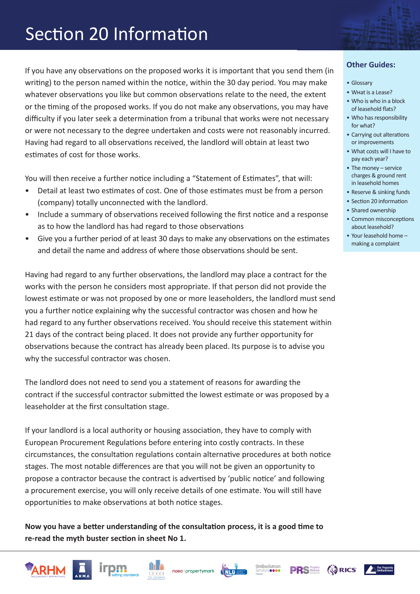If you have any observations on the proposed works it is important that you send them (in writing) to the person named within the notice, within the 30 day period. You may make whatever observations you like but common observations relate to the need, the extent or the timing of the proposed works. If you do not make any observations, you may have difficulty if you later seek a determination from a tribunal that works were not necessary or were not necessary to the degree undertaken and costs were not reasonably incurred. Having had regard to all observations received, the landlord will obtain at least two estimates of cost for those works.

You will then receive a further notice including a "Statement of Estimates", that will:

- Detail at least two estimates of cost. One of those estimates must be from a person (company) totally unconnected with the landlord.
- Include a summary of observations received following the first notice and a response as to how the landlord has had regard to those observations
- Give you a further period of at least 30 days to make any observations on the estimates and detail the name and address of where those observations should be sent.

Having had regard to any further observations, the landlord may place a contract for the works with the person he considers most appropriate. If that person did not provide the lowest estimate or was not proposed by one or more leaseholders, the landlord must send you a further notice explaining why the successful contractor was chosen and how he had regard to any further observations received. You should receive this statement within 21 days of the contract being placed. It does not provide any further opportunity for observations because the contract has already been placed. Its purpose is to advise you why the successful contractor was chosen.

The landlord does not need to send you a statement of reasons for awarding the contract if the successful contractor submitted the lowest estimate or was proposed by a leaseholder at the first consultation stage.

If your landlord is a local authority or housing association, they have to comply with European Procurement Regulations before entering into costly contracts. In these circumstances, the consultation regulations contain alternative procedures at both notice stages. The most notable differences are that you will not be given an opportunity to propose a contractor because the contract is advertised by 'public notice' and following a procurement exercise, you will only receive details of one estimate. You will still have opportunities to make observations at both notice stages.

**Now you have a better understanding of the consultation process, it is a good time to re-read the myth buster section in sheet No 1.**

![](_page_17_Picture_11.jpeg)

![](_page_17_Picture_12.jpeg)

![](_page_17_Picture_13.jpeg)

![](_page_17_Picture_14.jpeg)

**AS RICS** 

#### • Who is who in a block of leasehold flats?

• Glossary • What is a Lease?

- Who has responsibility for what?
- Carrying out alterations or improvements
- What costs will I have to pay each year?
- The money service charges & ground rent in leasehold homes
- Reserve & sinking funds
- Section 20 information
- Shared ownership
- Common misconceptions about leasehold?
- Your leasehold home making a complaint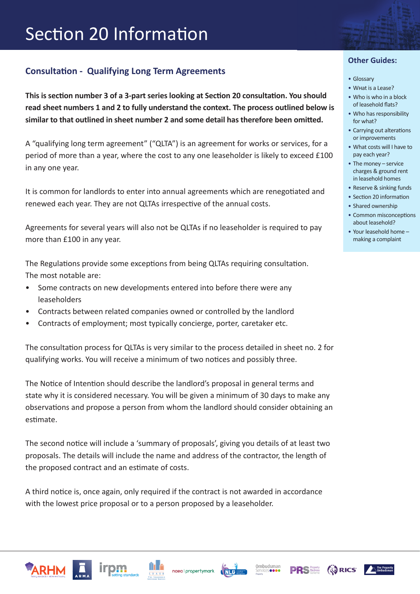### **Consultation - Qualifying Long Term Agreements**

**This is section number 3 of a 3-part series looking at Section 20 consultation. You should read sheet numbers 1 and 2 to fully understand the context. The process outlined below is similar to that outlined in sheet number 2 and some detail has therefore been omitted.**

A "qualifying long term agreement" ("QLTA") is an agreement for works or services, for a period of more than a year, where the cost to any one leaseholder is likely to exceed £100 in any one year.

It is common for landlords to enter into annual agreements which are renegotiated and renewed each year. They are not QLTAs irrespective of the annual costs.

Agreements for several years will also not be QLTAs if no leaseholder is required to pay more than £100 in any year.

The Regulations provide some exceptions from being QLTAs requiring consultation. The most notable are:

- Some contracts on new developments entered into before there were any leaseholders
- Contracts between related companies owned or controlled by the landlord
- Contracts of employment; most typically concierge, porter, caretaker etc.

The consultation process for QLTAs is very similar to the process detailed in sheet no. 2 for qualifying works. You will receive a minimum of two notices and possibly three.

The Notice of Intention should describe the landlord's proposal in general terms and state why it is considered necessary. You will be given a minimum of 30 days to make any observations and propose a person from whom the landlord should consider obtaining an estimate.

The second notice will include a 'summary of proposals', giving you details of at least two proposals. The details will include the name and address of the contractor, the length of the proposed contract and an estimate of costs.

A third notice is, once again, only required if the contract is not awarded in accordance with the lowest price proposal or to a person proposed by a leaseholder.

- Glossary
- What is a Lease?
- Who is who in a block of leasehold flats?
- Who has responsibility for what?
- Carrying out alterations or improvements
- What costs will I have to pay each year?
- The money service charges & ground rent in leasehold homes
- Reserve & sinking funds
- Section 20 information • Shared ownership
- Common misconceptions
- about leasehold? • Your leasehold home – making a complaint

![](_page_18_Picture_26.jpeg)

![](_page_18_Picture_27.jpeg)

![](_page_18_Picture_28.jpeg)

![](_page_18_Picture_29.jpeg)

![](_page_18_Picture_30.jpeg)

![](_page_18_Picture_31.jpeg)

![](_page_18_Picture_32.jpeg)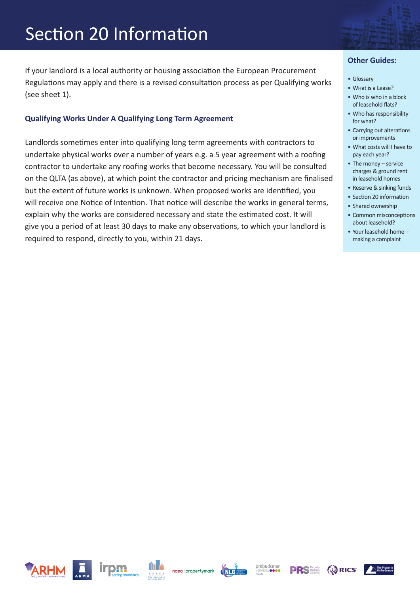If your landlord is a local authority or housing association the European Procurement Regulations may apply and there is a revised consultation process as per Qualifying works (see sheet 1).

#### **Qualifying Works Under A Qualifying Long Term Agreement**

Landlords sometimes enter into qualifying long term agreements with contractors to undertake physical works over a number of years e.g. a 5 year agreement with a roofing contractor to undertake any roofing works that become necessary. You will be consulted on the QLTA (as above), at which point the contractor and pricing mechanism are finalised but the extent of future works is unknown. When proposed works are identified, you will receive one Notice of Intention. That notice will describe the works in general terms, explain why the works are considered necessary and state the estimated cost. It will give you a period of at least 30 days to make any observations, to which your landlord is required to respond, directly to you, within 21 days.

- Glossary
- What is a Lease?
- Who is who in a block of leasehold flats?
- Who has responsibility for what?
- Carrying out alterations or improvements
- What costs will I have to pay each year?
- The money service charges & ground rent in leasehold homes
- Reserve & sinking funds
- Section 20 information
- Shared ownership
- Common misconceptions about leasehold?
- Your leasehold home making a complaint

![](_page_19_Picture_17.jpeg)

![](_page_19_Picture_18.jpeg)

![](_page_19_Picture_19.jpeg)

![](_page_19_Picture_20.jpeg)

![](_page_19_Picture_21.jpeg)

![](_page_19_Picture_22.jpeg)

![](_page_19_Picture_23.jpeg)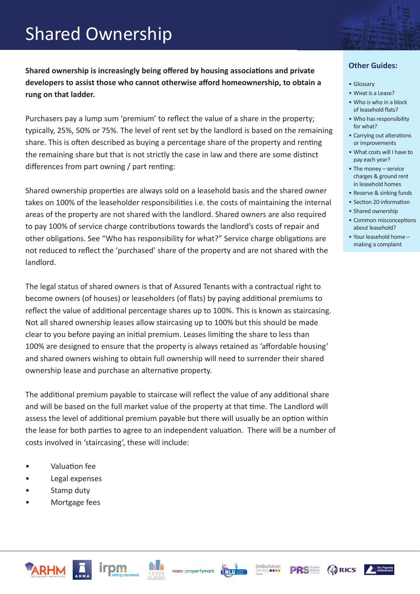### Shared Ownership

**Shared ownership is increasingly being offered by housing associations and private developers to assist those who cannot otherwise afford homeownership, to obtain a rung on that ladder.** 

Purchasers pay a lump sum 'premium' to reflect the value of a share in the property; typically, 25%, 50% or 75%. The level of rent set by the landlord is based on the remaining share. This is often described as buying a percentage share of the property and renting the remaining share but that is not strictly the case in law and there are some distinct differences from part owning / part renting:

Shared ownership properties are always sold on a leasehold basis and the shared owner takes on 100% of the leaseholder responsibilities i.e. the costs of maintaining the internal areas of the property are not shared with the landlord. Shared owners are also required to pay 100% of service charge contributions towards the landlord's costs of repair and other obligations. See "Who has responsibility for what?" Service charge obligations are not reduced to reflect the 'purchased' share of the property and are not shared with the landlord.

The legal status of shared owners is that of Assured Tenants with a contractual right to become owners (of houses) or leaseholders (of flats) by paying additional premiums to reflect the value of additional percentage shares up to 100%. This is known as staircasing. Not all shared ownership leases allow staircasing up to 100% but this should be made clear to you before paying an initial premium. Leases limiting the share to less than 100% are designed to ensure that the property is always retained as 'affordable housing' and shared owners wishing to obtain full ownership will need to surrender their shared ownership lease and purchase an alternative property.

The additional premium payable to staircase will reflect the value of any additional share and will be based on the full market value of the property at that time. The Landlord will assess the level of additional premium payable but there will usually be an option within the lease for both parties to agree to an independent valuation. There will be a number of costs involved in 'staircasing', these will include:

- Valuation fee
- Legal expenses
- Stamp duty
- Mortgage fees

![](_page_20_Picture_10.jpeg)

- What is a Lease?
- Who is who in a block of leasehold flats?
- Who has responsibility for what?
- Carrying out alterations or improvements
- What costs will I have to pay each year?
- The money service charges & ground rent in leasehold homes
- Reserve & sinking funds
- Section 20 information
- Shared ownership
- Common misconceptions about leasehold?
- Your leasehold home making a complaint

![](_page_20_Picture_22.jpeg)

![](_page_20_Picture_23.jpeg)

![](_page_20_Picture_24.jpeg)

![](_page_20_Picture_25.jpeg)

![](_page_20_Picture_26.jpeg)

![](_page_20_Picture_28.jpeg)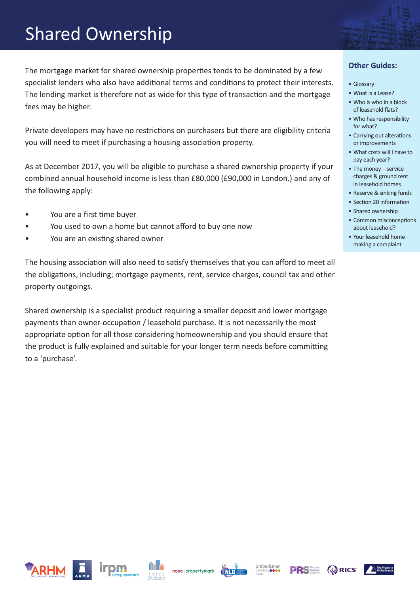### Shared Ownership

The mortgage market for shared ownership properties tends to be dominated by a few specialist lenders who also have additional terms and conditions to protect their interests. The lending market is therefore not as wide for this type of transaction and the mortgage fees may be higher.

Private developers may have no restrictions on purchasers but there are eligibility criteria you will need to meet if purchasing a housing association property.

As at December 2017, you will be eligible to purchase a shared ownership property if your combined annual household income is less than £80,000 (£90,000 in London.) and any of the following apply:

- You are a first time buyer
- You used to own a home but cannot afford to buy one now
- You are an existing shared owner

The housing association will also need to satisfy themselves that you can afford to meet all the obligations, including; mortgage payments, rent, service charges, council tax and other property outgoings.

Shared ownership is a specialist product requiring a smaller deposit and lower mortgage payments than owner-occupation / leasehold purchase. It is not necessarily the most appropriate option for all those considering homeownership and you should ensure that the product is fully explained and suitable for your longer term needs before committing to a 'purchase'.

- Glossary
- What is a Lease?
- Who is who in a block of leasehold flats?
- Who has responsibility for what?
- Carrying out alterations or improvements
- What costs will I have to pay each year?
- The money service charges & ground rent in leasehold homes
- Reserve & sinking funds
- Section 20 information
- Shared ownership
- Common misconceptions about leasehold?
- Your leasehold home making a complaint

![](_page_21_Picture_22.jpeg)

![](_page_21_Picture_23.jpeg)

![](_page_21_Picture_24.jpeg)

![](_page_21_Picture_25.jpeg)

![](_page_21_Picture_26.jpeg)

![](_page_21_Picture_27.jpeg)

![](_page_21_Picture_28.jpeg)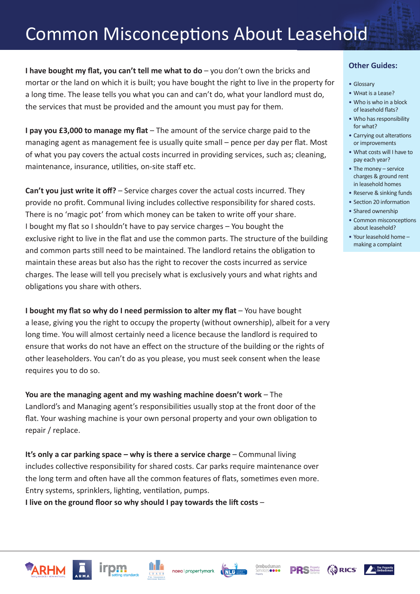**I have bought my flat, you can't tell me what to do** – you don't own the bricks and mortar or the land on which it is built; you have bought the right to live in the property for a long time. The lease tells you what you can and can't do, what your landlord must do, the services that must be provided and the amount you must pay for them.

**I pay you £3,000 to manage my flat** – The amount of the service charge paid to the managing agent as management fee is usually quite small – pence per day per flat. Most of what you pay covers the actual costs incurred in providing services, such as; cleaning, maintenance, insurance, utilities, on-site staff etc.

**Can't you just write it off?** – Service charges cover the actual costs incurred. They provide no profit. Communal living includes collective responsibility for shared costs. There is no 'magic pot' from which money can be taken to write off your share. I bought my flat so I shouldn't have to pay service charges – You bought the exclusive right to live in the flat and use the common parts. The structure of the building and common parts still need to be maintained. The landlord retains the obligation to maintain these areas but also has the right to recover the costs incurred as service charges. The lease will tell you precisely what is exclusively yours and what rights and obligations you share with others.

**I bought my flat so why do I need permission to alter my flat** – You have bought a lease, giving you the right to occupy the property (without ownership), albeit for a very long time. You will almost certainly need a licence because the landlord is required to ensure that works do not have an effect on the structure of the building or the rights of other leaseholders. You can't do as you please, you must seek consent when the lease requires you to do so.

**You are the managing agent and my washing machine doesn't work** – The Landlord's and Managing agent's responsibilities usually stop at the front door of the flat. Your washing machine is your own personal property and your own obligation to repair / replace.

**It's only a car parking space – why is there a service charge** – Communal living includes collective responsibility for shared costs. Car parks require maintenance over the long term and often have all the common features of flats, sometimes even more. Entry systems, sprinklers, lighting, ventilation, pumps.

**I live on the ground floor so why should I pay towards the lift costs** –

- Glossary
- What is a Lease?
- Who is who in a block of leasehold flats?
- Who has responsibility for what?
- Carrying out alterations or improvements
- What costs will I have to pay each year?
- The money service charges & ground rent in leasehold homes
- Reserve & sinking funds
- Section 20 information
- Shared ownership
- Common misconceptions about leasehold?
- Your leasehold home making a complaint

![](_page_22_Picture_21.jpeg)

![](_page_22_Picture_22.jpeg)

![](_page_22_Picture_23.jpeg)

![](_page_22_Picture_24.jpeg)

![](_page_22_Picture_25.jpeg)

![](_page_22_Picture_26.jpeg)

![](_page_22_Picture_27.jpeg)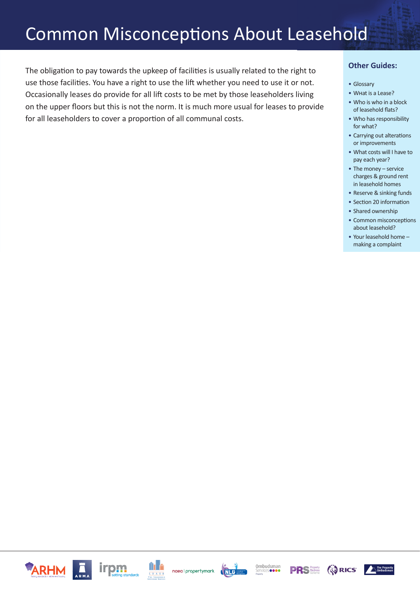The obligation to pay towards the upkeep of facilities is usually related to the right to use those facilities. You have a right to use the lift whether you need to use it or not. Occasionally leases do provide for all lift costs to be met by those leaseholders living on the upper floors but this is not the norm. It is much more usual for leases to provide for all leaseholders to cover a proportion of all communal costs.

- Glossary
- What is a Lease?
- Who is who in a block of leasehold flats?
- Who has responsibility for what?
- Carrying out alterations or improvements
- What costs will I have to pay each year?
- The money service charges & ground rent in leasehold homes
- Reserve & sinking funds
- Section 20 information
- Shared ownership
- Common misconceptions about leasehold?
- Your leasehold home making a complaint

![](_page_23_Picture_15.jpeg)

![](_page_23_Picture_16.jpeg)

![](_page_23_Picture_17.jpeg)

![](_page_23_Picture_18.jpeg)

![](_page_23_Picture_19.jpeg)

![](_page_23_Picture_20.jpeg)

![](_page_23_Picture_21.jpeg)